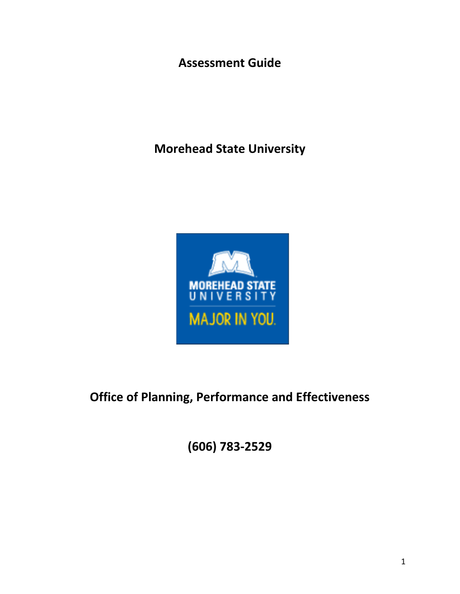**Assessment Guide**

**Morehead State University**



**Office of Planning, Performance and Effectiveness**

**(606) 783-2529**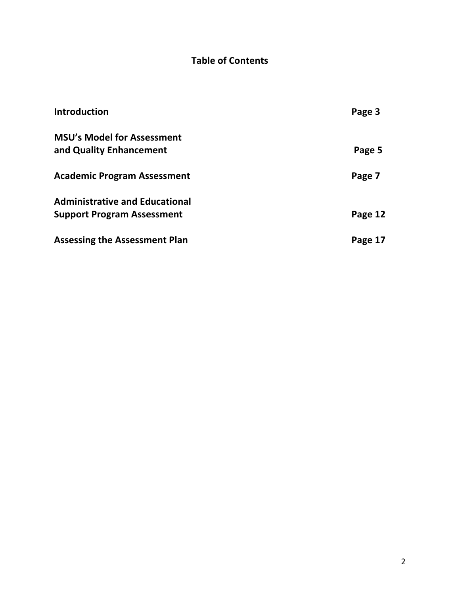# **Table of Contents**

| <b>Introduction</b>                   | Page 3  |
|---------------------------------------|---------|
| <b>MSU's Model for Assessment</b>     |         |
| and Quality Enhancement               | Page 5  |
| <b>Academic Program Assessment</b>    | Page 7  |
| <b>Administrative and Educational</b> |         |
| <b>Support Program Assessment</b>     | Page 12 |
| <b>Assessing the Assessment Plan</b>  | Page 17 |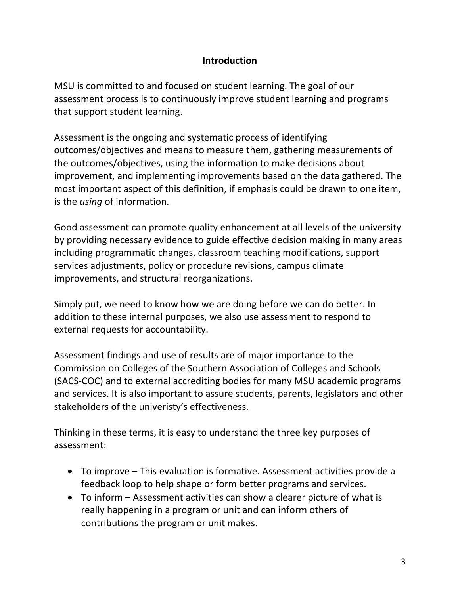#### **Introduction**

MSU is committed to and focused on student learning. The goal of our assessment process is to continuously improve student learning and programs that support student learning.

Assessment is the ongoing and systematic process of identifying outcomes/objectives and means to measure them, gathering measurements of the outcomes/objectives, using the information to make decisions about improvement, and implementing improvements based on the data gathered. The most important aspect of this definition, if emphasis could be drawn to one item, is the *using* of information.

Good assessment can promote quality enhancement at all levels of the university by providing necessary evidence to guide effective decision making in many areas including programmatic changes, classroom teaching modifications, support services adjustments, policy or procedure revisions, campus climate improvements, and structural reorganizations.

Simply put, we need to know how we are doing before we can do better. In addition to these internal purposes, we also use assessment to respond to external requests for accountability.

Assessment findings and use of results are of major importance to the Commission on Colleges of the Southern Association of Colleges and Schools (SACS-COC) and to external accrediting bodies for many MSU academic programs and services. It is also important to assure students, parents, legislators and other stakeholders of the univeristy's effectiveness.

Thinking in these terms, it is easy to understand the three key purposes of assessment:

- To improve This evaluation is formative. Assessment activities provide a feedback loop to help shape or form better programs and services.
- To inform Assessment activities can show a clearer picture of what is really happening in a program or unit and can inform others of contributions the program or unit makes.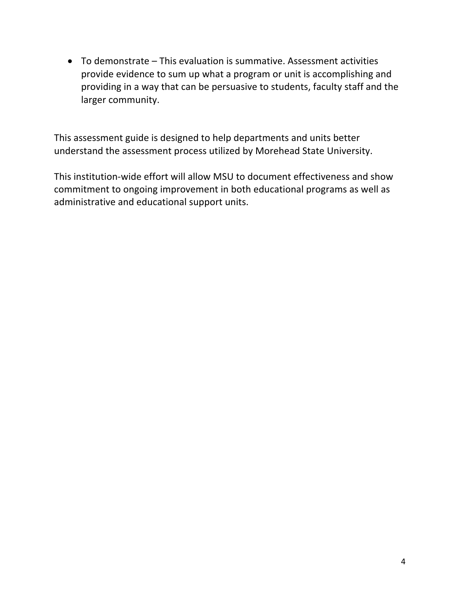• To demonstrate – This evaluation is summative. Assessment activities provide evidence to sum up what a program or unit is accomplishing and providing in a way that can be persuasive to students, faculty staff and the larger community.

This assessment guide is designed to help departments and units better understand the assessment process utilized by Morehead State University.

This institution-wide effort will allow MSU to document effectiveness and show commitment to ongoing improvement in both educational programs as well as administrative and educational support units.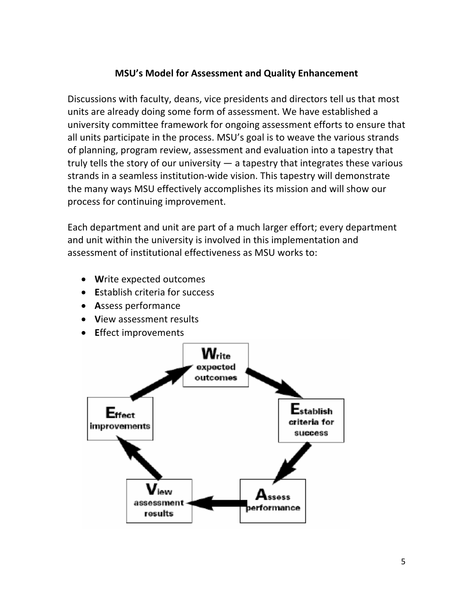#### **MSU's Model for Assessment and Quality Enhancement**

Discussions with faculty, deans, vice presidents and directors tell us that most units are already doing some form of assessment. We have established a university committee framework for ongoing assessment efforts to ensure that all units participate in the process. MSU's goal is to weave the various strands of planning, program review, assessment and evaluation into a tapestry that truly tells the story of our university — a tapestry that integrates these various strands in a seamless institution-wide vision. This tapestry will demonstrate the many ways MSU effectively accomplishes its mission and will show our process for continuing improvement.

Each department and unit are part of a much larger effort; every department and unit within the university is involved in this implementation and assessment of institutional effectiveness as MSU works to:

- **W**rite expected outcomes
- **E**stablish criteria for success
- **A**ssess performance
- **V**iew assessment results
- **E**ffect improvements

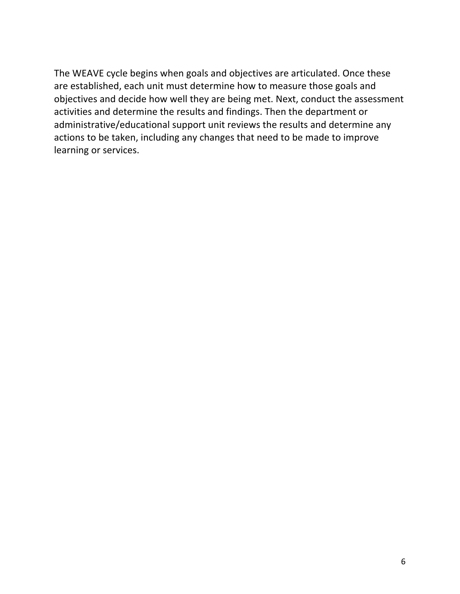The WEAVE cycle begins when goals and objectives are articulated. Once these are established, each unit must determine how to measure those goals and objectives and decide how well they are being met. Next, conduct the assessment activities and determine the results and findings. Then the department or administrative/educational support unit reviews the results and determine any actions to be taken, including any changes that need to be made to improve learning or services.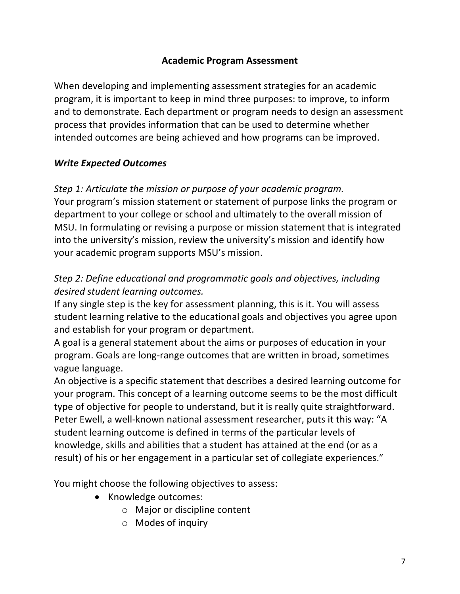#### **Academic Program Assessment**

When developing and implementing assessment strategies for an academic program, it is important to keep in mind three purposes: to improve, to inform and to demonstrate. Each department or program needs to design an assessment process that provides information that can be used to determine whether intended outcomes are being achieved and how programs can be improved.

#### *Write Expected Outcomes*

## *Step 1: Articulate the mission or purpose of your academic program.*

Your program's mission statement or statement of purpose links the program or department to your college or school and ultimately to the overall mission of MSU. In formulating or revising a purpose or mission statement that is integrated into the university's mission, review the university's mission and identify how your academic program supports MSU's mission.

# *Step 2: Define educational and programmatic goals and objectives, including desired student learning outcomes.*

If any single step is the key for assessment planning, this is it. You will assess student learning relative to the educational goals and objectives you agree upon and establish for your program or department.

A goal is a general statement about the aims or purposes of education in your program. Goals are long-range outcomes that are written in broad, sometimes vague language.

An objective is a specific statement that describes a desired learning outcome for your program. This concept of a learning outcome seems to be the most difficult type of objective for people to understand, but it is really quite straightforward. Peter Ewell, a well-known national assessment researcher, puts it this way: "A student learning outcome is defined in terms of the particular levels of knowledge, skills and abilities that a student has attained at the end (or as a result) of his or her engagement in a particular set of collegiate experiences."

You might choose the following objectives to assess:

- Knowledge outcomes:
	- o Major or discipline content
	- o Modes of inquiry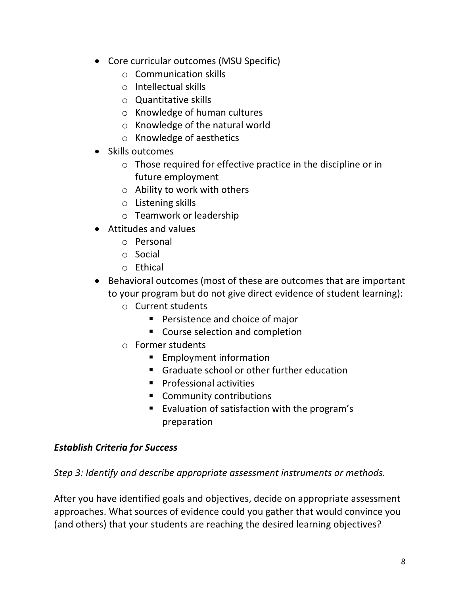- Core curricular outcomes (MSU Specific)
	- o Communication skills
	- o Intellectual skills
	- o Quantitative skills
	- o Knowledge of human cultures
	- o Knowledge of the natural world
	- o Knowledge of aesthetics
- Skills outcomes
	- o Those required for effective practice in the discipline or in future employment
	- o Ability to work with others
	- o Listening skills
	- o Teamwork or leadership
- Attitudes and values
	- o Personal
	- o Social
	- o Ethical
- Behavioral outcomes (most of these are outcomes that are important to your program but do not give direct evidence of student learning):
	- o Current students
		- Persistence and choice of major
		- Course selection and completion
	- o Former students
		- Employment information
		- Graduate school or other further education
		- Professional activities
		- Community contributions
		- Evaluation of satisfaction with the program's preparation

## *Establish Criteria for Success*

*Step 3: Identify and describe appropriate assessment instruments or methods.*

After you have identified goals and objectives, decide on appropriate assessment approaches. What sources of evidence could you gather that would convince you (and others) that your students are reaching the desired learning objectives?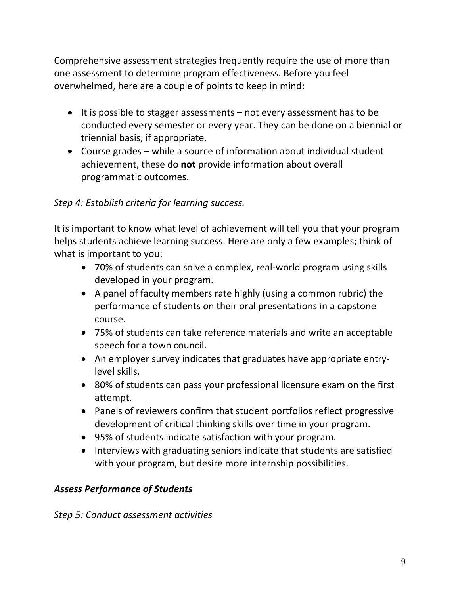Comprehensive assessment strategies frequently require the use of more than one assessment to determine program effectiveness. Before you feel overwhelmed, here are a couple of points to keep in mind:

- It is possible to stagger assessments not every assessment has to be conducted every semester or every year. They can be done on a biennial or triennial basis, if appropriate.
- Course grades while a source of information about individual student achievement, these do **not** provide information about overall programmatic outcomes.

# *Step 4: Establish criteria for learning success.*

It is important to know what level of achievement will tell you that your program helps students achieve learning success. Here are only a few examples; think of what is important to you:

- 70% of students can solve a complex, real-world program using skills developed in your program.
- A panel of faculty members rate highly (using a common rubric) the performance of students on their oral presentations in a capstone course.
- 75% of students can take reference materials and write an acceptable speech for a town council.
- An employer survey indicates that graduates have appropriate entrylevel skills.
- 80% of students can pass your professional licensure exam on the first attempt.
- Panels of reviewers confirm that student portfolios reflect progressive development of critical thinking skills over time in your program.
- 95% of students indicate satisfaction with your program.
- Interviews with graduating seniors indicate that students are satisfied with your program, but desire more internship possibilities.

## *Assess Performance of Students*

*Step 5: Conduct assessment activities*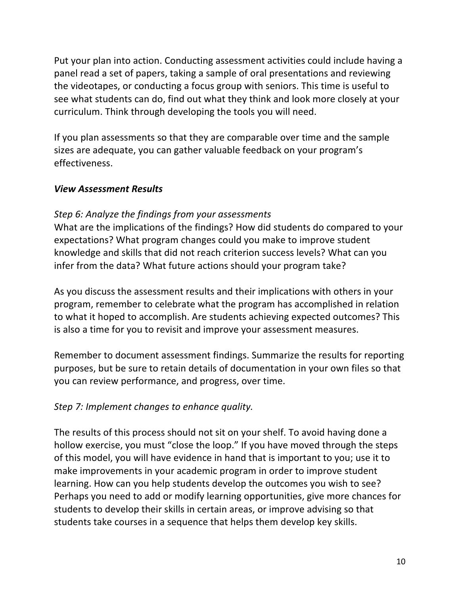Put your plan into action. Conducting assessment activities could include having a panel read a set of papers, taking a sample of oral presentations and reviewing the videotapes, or conducting a focus group with seniors. This time is useful to see what students can do, find out what they think and look more closely at your curriculum. Think through developing the tools you will need.

If you plan assessments so that they are comparable over time and the sample sizes are adequate, you can gather valuable feedback on your program's effectiveness.

#### *View Assessment Results*

#### *Step 6: Analyze the findings from your assessments*

What are the implications of the findings? How did students do compared to your expectations? What program changes could you make to improve student knowledge and skills that did not reach criterion success levels? What can you infer from the data? What future actions should your program take?

As you discuss the assessment results and their implications with others in your program, remember to celebrate what the program has accomplished in relation to what it hoped to accomplish. Are students achieving expected outcomes? This is also a time for you to revisit and improve your assessment measures.

Remember to document assessment findings. Summarize the results for reporting purposes, but be sure to retain details of documentation in your own files so that you can review performance, and progress, over time.

#### *Step 7: Implement changes to enhance quality.*

The results of this process should not sit on your shelf. To avoid having done a hollow exercise, you must "close the loop." If you have moved through the steps of this model, you will have evidence in hand that is important to you; use it to make improvements in your academic program in order to improve student learning. How can you help students develop the outcomes you wish to see? Perhaps you need to add or modify learning opportunities, give more chances for students to develop their skills in certain areas, or improve advising so that students take courses in a sequence that helps them develop key skills.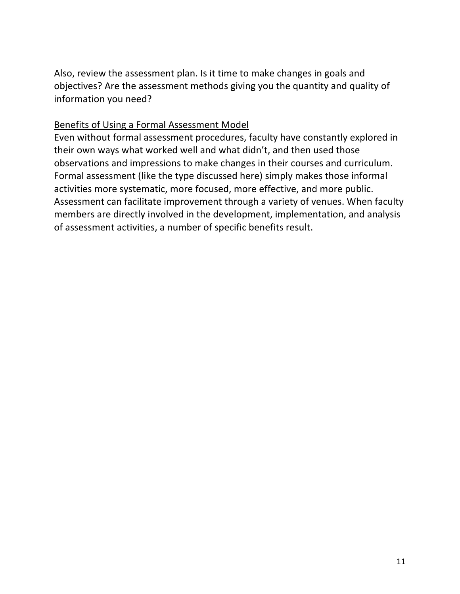Also, review the assessment plan. Is it time to make changes in goals and objectives? Are the assessment methods giving you the quantity and quality of information you need?

#### Benefits of Using a Formal Assessment Model

Even without formal assessment procedures, faculty have constantly explored in their own ways what worked well and what didn't, and then used those observations and impressions to make changes in their courses and curriculum. Formal assessment (like the type discussed here) simply makes those informal activities more systematic, more focused, more effective, and more public. Assessment can facilitate improvement through a variety of venues. When faculty members are directly involved in the development, implementation, and analysis of assessment activities, a number of specific benefits result.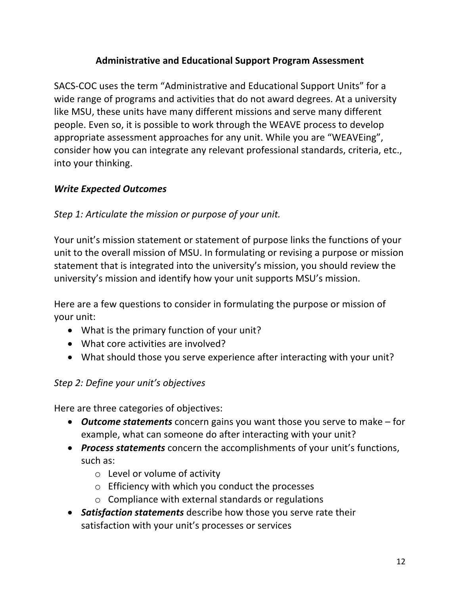## **Administrative and Educational Support Program Assessment**

SACS-COC uses the term "Administrative and Educational Support Units" for a wide range of programs and activities that do not award degrees. At a university like MSU, these units have many different missions and serve many different people. Even so, it is possible to work through the WEAVE process to develop appropriate assessment approaches for any unit. While you are "WEAVEing", consider how you can integrate any relevant professional standards, criteria, etc., into your thinking.

## *Write Expected Outcomes*

## *Step 1: Articulate the mission or purpose of your unit.*

Your unit's mission statement or statement of purpose links the functions of your unit to the overall mission of MSU. In formulating or revising a purpose or mission statement that is integrated into the university's mission, you should review the university's mission and identify how your unit supports MSU's mission.

Here are a few questions to consider in formulating the purpose or mission of your unit:

- What is the primary function of your unit?
- What core activities are involved?
- What should those you serve experience after interacting with your unit?

## *Step 2: Define your unit's objectives*

Here are three categories of objectives:

- *Outcome statements* concern gains you want those you serve to make for example, what can someone do after interacting with your unit?
- *Process statements* concern the accomplishments of your unit's functions, such as:
	- $\circ$  Level or volume of activity
	- o Efficiency with which you conduct the processes
	- o Compliance with external standards or regulations
- *Satisfaction statements* describe how those you serve rate their satisfaction with your unit's processes or services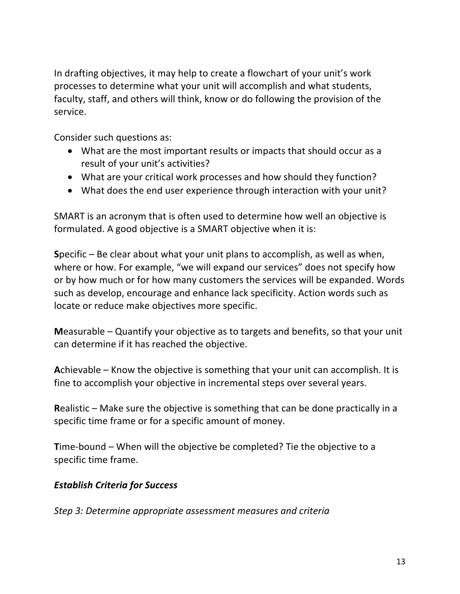In drafting objectives, it may help to create a flowchart of your unit's work processes to determine what your unit will accomplish and what students, faculty, staff, and others will think, know or do following the provision of the service.

Consider such questions as:

- What are the most important results or impacts that should occur as a result of your unit's activities?
- What are your critical work processes and how should they function?
- What does the end user experience through interaction with your unit?

SMART is an acronym that is often used to determine how well an objective is formulated. A good objective is a SMART objective when it is:

**S**pecific – Be clear about what your unit plans to accomplish, as well as when, where or how. For example, "we will expand our services" does not specify how or by how much or for how many customers the services will be expanded. Words such as develop, encourage and enhance lack specificity. Action words such as locate or reduce make objectives more specific.

**M**easurable – Quantify your objective as to targets and benefits, so that your unit can determine if it has reached the objective.

**A**chievable – Know the objective is something that your unit can accomplish. It is fine to accomplish your objective in incremental steps over several years.

**R**ealistic – Make sure the objective is something that can be done practically in a specific time frame or for a specific amount of money.

**T**ime-bound – When will the objective be completed? Tie the objective to a specific time frame.

## *Establish Criteria for Success*

*Step 3: Determine appropriate assessment measures and criteria*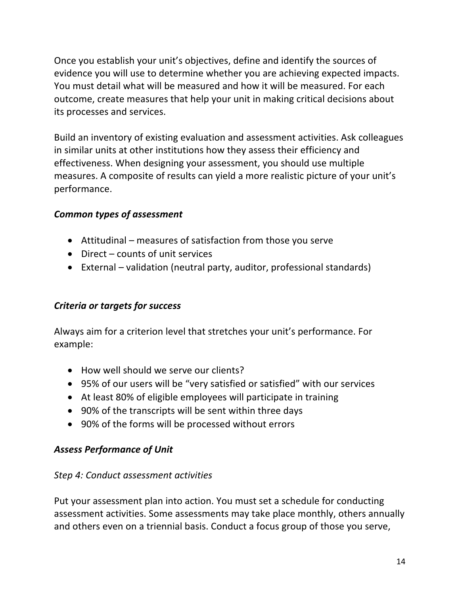Once you establish your unit's objectives, define and identify the sources of evidence you will use to determine whether you are achieving expected impacts. You must detail what will be measured and how it will be measured. For each outcome, create measures that help your unit in making critical decisions about its processes and services.

Build an inventory of existing evaluation and assessment activities. Ask colleagues in similar units at other institutions how they assess their efficiency and effectiveness. When designing your assessment, you should use multiple measures. A composite of results can yield a more realistic picture of your unit's performance.

## *Common types of assessment*

- Attitudinal measures of satisfaction from those you serve
- Direct counts of unit services
- External validation (neutral party, auditor, professional standards)

#### *Criteria or targets for success*

Always aim for a criterion level that stretches your unit's performance. For example:

- How well should we serve our clients?
- 95% of our users will be "very satisfied or satisfied" with our services
- At least 80% of eligible employees will participate in training
- 90% of the transcripts will be sent within three days
- 90% of the forms will be processed without errors

#### *Assess Performance of Unit*

#### *Step 4: Conduct assessment activities*

Put your assessment plan into action. You must set a schedule for conducting assessment activities. Some assessments may take place monthly, others annually and others even on a triennial basis. Conduct a focus group of those you serve,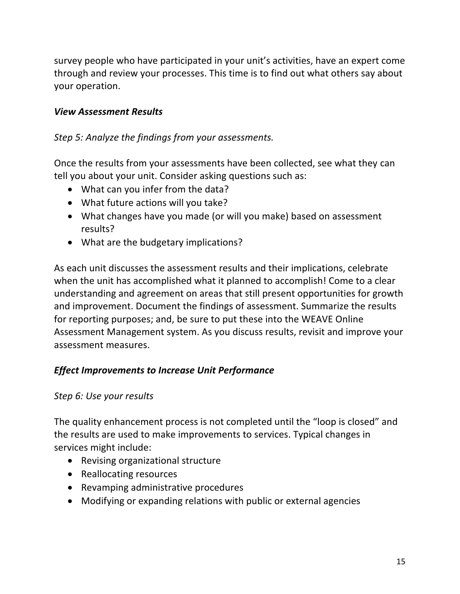survey people who have participated in your unit's activities, have an expert come through and review your processes. This time is to find out what others say about your operation.

#### *View Assessment Results*

#### *Step 5: Analyze the findings from your assessments.*

Once the results from your assessments have been collected, see what they can tell you about your unit. Consider asking questions such as:

- What can you infer from the data?
- What future actions will you take?
- What changes have you made (or will you make) based on assessment results?
- What are the budgetary implications?

As each unit discusses the assessment results and their implications, celebrate when the unit has accomplished what it planned to accomplish! Come to a clear understanding and agreement on areas that still present opportunities for growth and improvement. Document the findings of assessment. Summarize the results for reporting purposes; and, be sure to put these into the WEAVE Online Assessment Management system. As you discuss results, revisit and improve your assessment measures.

## *Effect Improvements to Increase Unit Performance*

#### *Step 6: Use your results*

The quality enhancement process is not completed until the "loop is closed" and the results are used to make improvements to services. Typical changes in services might include:

- Revising organizational structure
- Reallocating resources
- Revamping administrative procedures
- Modifying or expanding relations with public or external agencies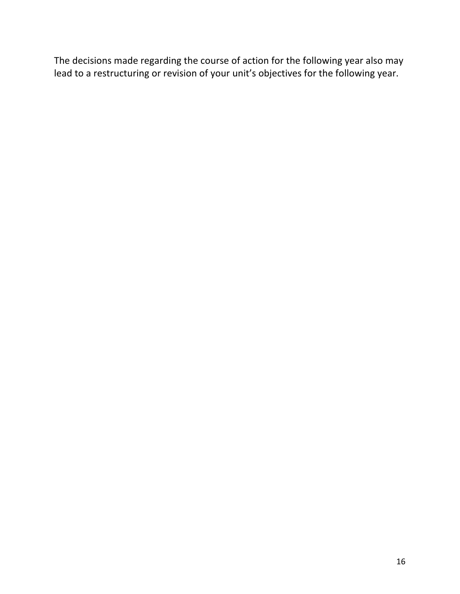The decisions made regarding the course of action for the following year also may lead to a restructuring or revision of your unit's objectives for the following year.